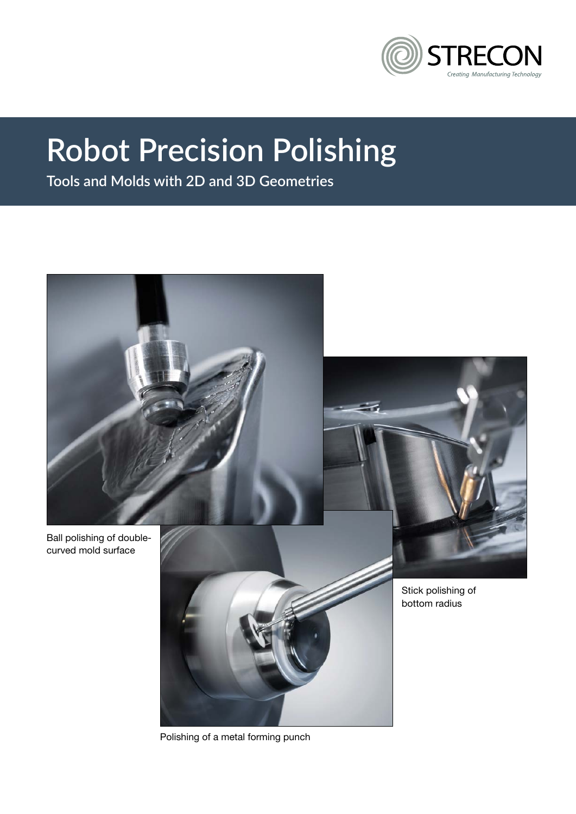

# **Robot Precision Polishing**

**Tools and Molds with 2D and 3D Geometries**



Polishing of a metal forming punch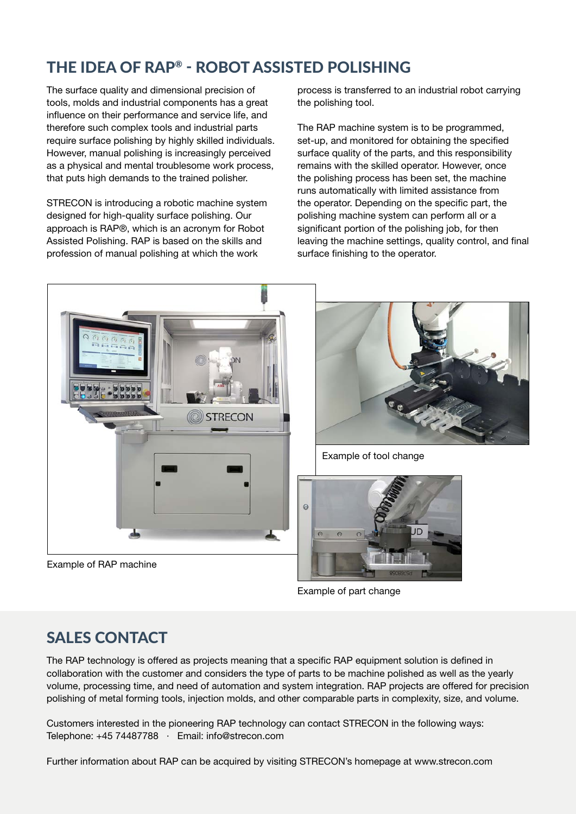# THE IDEA OF RAP® - ROBOT ASSISTED POLISHING

The surface quality and dimensional precision of tools, molds and industrial components has a great influence on their performance and service life, and therefore such complex tools and industrial parts require surface polishing by highly skilled individuals. However, manual polishing is increasingly perceived as a physical and mental troublesome work process, that puts high demands to the trained polisher.

STRECON is introducing a robotic machine system designed for high-quality surface polishing. Our approach is RAP®, which is an acronym for Robot Assisted Polishing. RAP is based on the skills and profession of manual polishing at which the work

process is transferred to an industrial robot carrying the polishing tool.

The RAP machine system is to be programmed, set-up, and monitored for obtaining the specified surface quality of the parts, and this responsibility remains with the skilled operator. However, once the polishing process has been set, the machine runs automatically with limited assistance from the operator. Depending on the specific part, the polishing machine system can perform all or a significant portion of the polishing job, for then leaving the machine settings, quality control, and final surface finishing to the operator.







Example of tool change



Example of part change

### SALES CONTACT

The RAP technology is offered as projects meaning that a specific RAP equipment solution is defined in collaboration with the customer and considers the type of parts to be machine polished as well as the yearly volume, processing time, and need of automation and system integration. RAP projects are offered for precision polishing of metal forming tools, injection molds, and other comparable parts in complexity, size, and volume.

Customers interested in the pioneering RAP technology can contact STRECON in the following ways: Telephone: +45 74487788 · Email: info@strecon.com

Further information about RAP can be acquired by visiting STRECON's homepage at www.strecon.com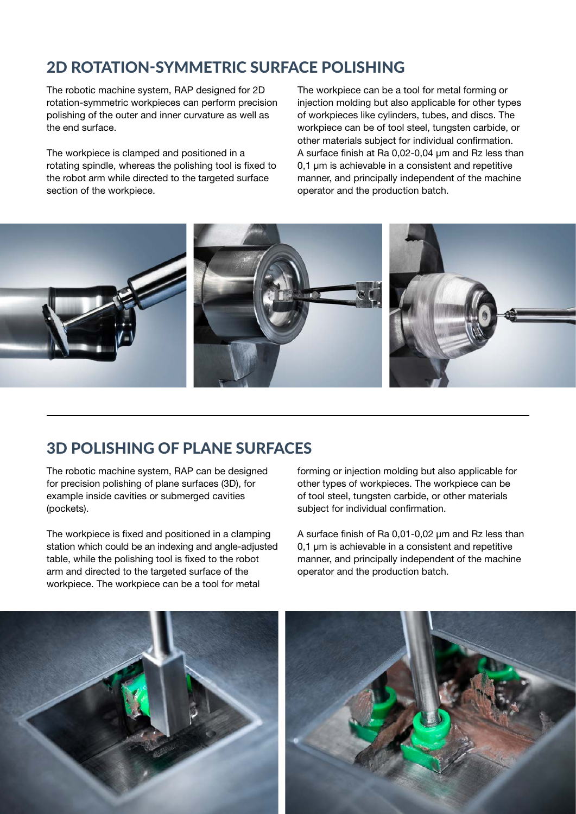# 2D ROTATION-SYMMETRIC SURFACE POLISHING

The robotic machine system, RAP designed for 2D rotation-symmetric workpieces can perform precision polishing of the outer and inner curvature as well as the end surface.

The workpiece is clamped and positioned in a rotating spindle, whereas the polishing tool is fixed to the robot arm while directed to the targeted surface section of the workpiece.

The workpiece can be a tool for metal forming or injection molding but also applicable for other types of workpieces like cylinders, tubes, and discs. The workpiece can be of tool steel, tungsten carbide, or other materials subject for individual confirmation. A surface finish at Ra 0,02-0,04 µm and Rz less than 0.1 um is achievable in a consistent and repetitive manner, and principally independent of the machine operator and the production batch.



### 3D POLISHING OF PLANE SURFACES

The robotic machine system, RAP can be designed for precision polishing of plane surfaces (3D), for example inside cavities or submerged cavities (pockets).

The workpiece is fixed and positioned in a clamping station which could be an indexing and angle-adjusted table, while the polishing tool is fixed to the robot arm and directed to the targeted surface of the workpiece. The workpiece can be a tool for metal

forming or injection molding but also applicable for other types of workpieces. The workpiece can be of tool steel, tungsten carbide, or other materials subject for individual confirmation.

A surface finish of Ra 0,01-0,02 µm and Rz less than 0,1 µm is achievable in a consistent and repetitive manner, and principally independent of the machine operator and the production batch.

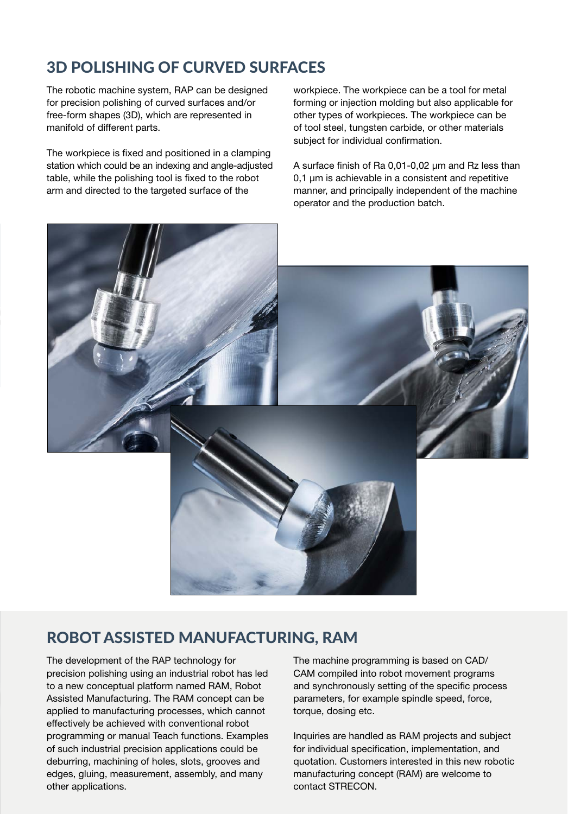# 3D POLISHING OF CURVED SURFACES

The robotic machine system, RAP can be designed for precision polishing of curved surfaces and/or free-form shapes (3D), which are represented in manifold of different parts.

The workpiece is fixed and positioned in a clamping station which could be an indexing and angle-adjusted table, while the polishing tool is fixed to the robot arm and directed to the targeted surface of the

workpiece. The workpiece can be a tool for metal forming or injection molding but also applicable for other types of workpieces. The workpiece can be of tool steel, tungsten carbide, or other materials subject for individual confirmation.

A surface finish of Ra 0,01-0,02 µm and Rz less than 0.1 um is achievable in a consistent and repetitive manner, and principally independent of the machine operator and the production batch.



### ROBOT ASSISTED MANUFACTURING, RAM

The development of the RAP technology for precision polishing using an industrial robot has led to a new conceptual platform named RAM, Robot Assisted Manufacturing. The RAM concept can be applied to manufacturing processes, which cannot effectively be achieved with conventional robot programming or manual Teach functions. Examples of such industrial precision applications could be deburring, machining of holes, slots, grooves and edges, gluing, measurement, assembly, and many other applications.

The machine programming is based on CAD/ CAM compiled into robot movement programs and synchronously setting of the specific process parameters, for example spindle speed, force, torque, dosing etc.

Inquiries are handled as RAM projects and subject for individual specification, implementation, and quotation. Customers interested in this new robotic manufacturing concept (RAM) are welcome to contact STRECON.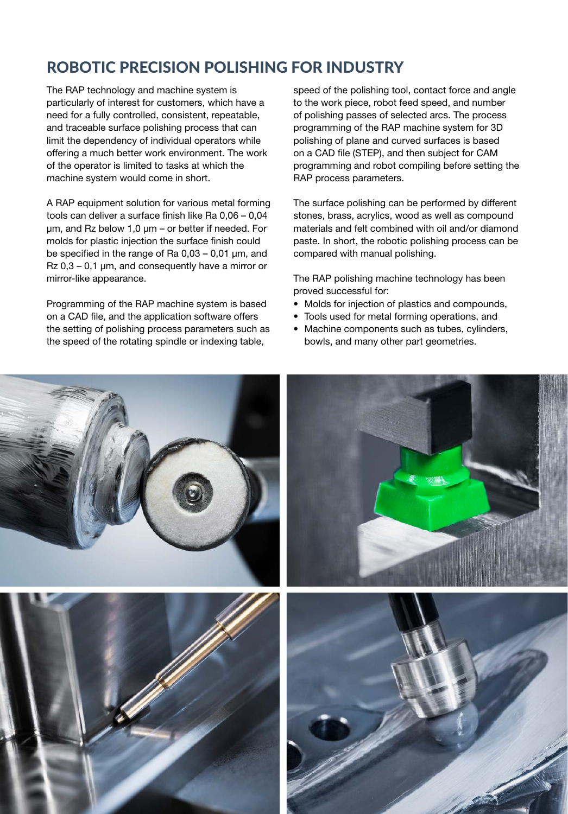# ROBOTIC PRECISION POLISHING FOR INDUSTRY

The RAP technology and machine system is particularly of interest for customers, which have a need for a fully controlled, consistent, repeatable, and traceable surface polishing process that can limit the dependency of individual operators while offering a much better work environment. The work of the operator is limited to tasks at which the machine system would come in short.

A RAP equipment solution for various metal forming tools can deliver a surface finish like Ra 0,06 – 0,04 µm, and Rz below 1,0 µm – or better if needed. For molds for plastic injection the surface finish could be specified in the range of Ra 0,03 – 0,01 µm, and Rz 0,3 – 0,1 µm, and consequently have a mirror or mirror-like appearance.

Programming of the RAP machine system is based on a CAD file, and the application software offers the setting of polishing process parameters such as the speed of the rotating spindle or indexing table,

speed of the polishing tool, contact force and angle to the work piece, robot feed speed, and number of polishing passes of selected arcs. The process programming of the RAP machine system for 3D polishing of plane and curved surfaces is based on a CAD file (STEP), and then subject for CAM programming and robot compiling before setting the RAP process parameters.

The surface polishing can be performed by different stones, brass, acrylics, wood as well as compound materials and felt combined with oil and/or diamond paste. In short, the robotic polishing process can be compared with manual polishing.

The RAP polishing machine technology has been proved successful for:

- Molds for injection of plastics and compounds,
- Tools used for metal forming operations, and
- Machine components such as tubes, cylinders, bowls, and many other part geometries.